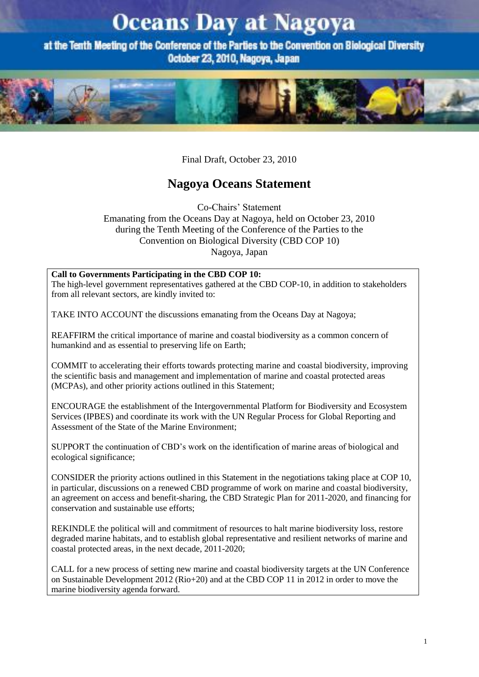# **Oceans Day at Nagoya**

at the Tenth Meeting of the Conference of the Parties to the Convention on Biological Diversity October 23, 2010, Nagoya, Japan



Final Draft, October 23, 2010

# **Nagoya Oceans Statement**

Co-Chairs' Statement Emanating from the Oceans Day at Nagoya, held on October 23, 2010 during the Tenth Meeting of the Conference of the Parties to the Convention on Biological Diversity (CBD COP 10) Nagoya, Japan

### **Call to Governments Participating in the CBD COP 10:**

The high-level government representatives gathered at the CBD COP-10, in addition to stakeholders from all relevant sectors, are kindly invited to:

TAKE INTO ACCOUNT the discussions emanating from the Oceans Day at Nagoya;

REAFFIRM the critical importance of marine and coastal biodiversity as a common concern of humankind and as essential to preserving life on Earth;

COMMIT to accelerating their efforts towards protecting marine and coastal biodiversity, improving the scientific basis and management and implementation of marine and coastal protected areas (MCPAs), and other priority actions outlined in this Statement;

ENCOURAGE the establishment of the Intergovernmental Platform for Biodiversity and Ecosystem Services (IPBES) and coordinate its work with the UN Regular Process for Global Reporting and Assessment of the State of the Marine Environment;

SUPPORT the continuation of CBD's work on the identification of marine areas of biological and ecological significance;

CONSIDER the priority actions outlined in this Statement in the negotiations taking place at COP 10, in particular, discussions on a renewed CBD programme of work on marine and coastal biodiversity, an agreement on access and benefit-sharing, the CBD Strategic Plan for 2011-2020, and financing for conservation and sustainable use efforts;

REKINDLE the political will and commitment of resources to halt marine biodiversity loss, restore degraded marine habitats, and to establish global representative and resilient networks of marine and coastal protected areas, in the next decade, 2011-2020;

CALL for a new process of setting new marine and coastal biodiversity targets at the UN Conference on Sustainable Development 2012 (Rio+20) and at the CBD COP 11 in 2012 in order to move the marine biodiversity agenda forward.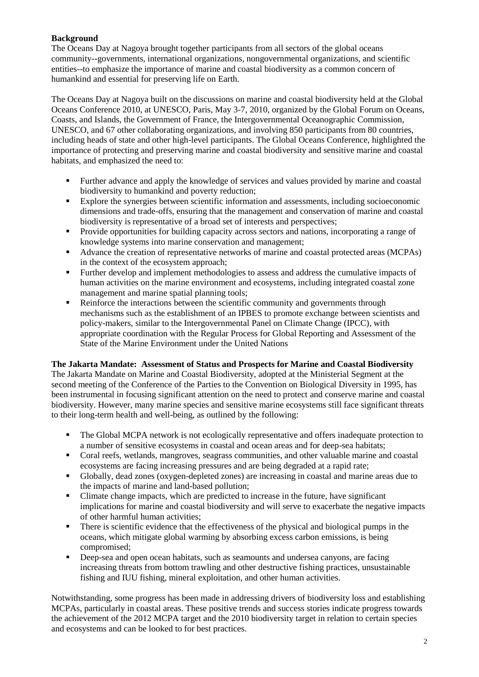# **Background**

The Oceans Day at Nagoya brought together participants from all sectors of the global oceans community--governments, international organizations, nongovernmental organizations, and scientific entities--to emphasize the importance of marine and coastal biodiversity as a common concern of humankind and essential for preserving life on Earth.

The Oceans Day at Nagoya built on the discussions on marine and coastal biodiversity held at the Global Oceans Conference 2010, at UNESCO, Paris, May 3-7, 2010, organized by the Global Forum on Oceans, Coasts, and Islands, the Government of France, the Intergovernmental Oceanographic Commission, UNESCO, and 67 other collaborating organizations, and involving 850 participants from 80 countries, including heads of state and other high-level participants. The Global Oceans Conference, highlighted the importance of protecting and preserving marine and coastal biodiversity and sensitive marine and coastal habitats, and emphasized the need to:

- Further advance and apply the knowledge of services and values provided by marine and coastal biodiversity to humankind and poverty reduction;
- Explore the synergies between scientific information and assessments, including socioeconomic dimensions and trade-offs, ensuring that the management and conservation of marine and coastal biodiversity is representative of a broad set of interests and perspectives;
- Provide opportunities for building capacity across sectors and nations, incorporating a range of knowledge systems into marine conservation and management;
- Advance the creation of representative networks of marine and coastal protected areas (MCPAs) in the context of the ecosystem approach;
- Further develop and implement methodologies to assess and address the cumulative impacts of human activities on the marine environment and ecosystems, including integrated coastal zone management and marine spatial planning tools;
- Reinforce the interactions between the scientific community and governments through mechanisms such as the establishment of an IPBES to promote exchange between scientists and policy-makers, similar to the Intergovernmental Panel on Climate Change (IPCC), with appropriate coordination with the Regular Process for Global Reporting and Assessment of the State of the Marine Environment under the United Nations

### **The Jakarta Mandate: Assessment of Status and Prospects for Marine and Coastal Biodiversity**

The Jakarta Mandate on Marine and Coastal Biodiversity, adopted at the Ministerial Segment at the second meeting of the Conference of the Parties to the Convention on Biological Diversity in 1995, has been instrumental in focusing significant attention on the need to protect and conserve marine and coastal biodiversity. However, many marine species and sensitive marine ecosystems still face significant threats to their long-term health and well-being, as outlined by the following:

- The Global MCPA network is not ecologically representative and offers inadequate protection to a number of sensitive ecosystems in coastal and ocean areas and for deep-sea habitats;
- Coral reefs, wetlands, mangroves, seagrass communities, and other valuable marine and coastal ecosystems are facing increasing pressures and are being degraded at a rapid rate;
- Globally, dead zones (oxygen-depleted zones) are increasing in coastal and marine areas due to the impacts of marine and land-based pollution;
- Climate change impacts, which are predicted to increase in the future, have significant implications for marine and coastal biodiversity and will serve to exacerbate the negative impacts of other harmful human activities;
- There is scientific evidence that the effectiveness of the physical and biological pumps in the oceans, which mitigate global warming by absorbing excess carbon emissions, is being compromised;
- Deep-sea and open ocean habitats, such as seamounts and undersea canyons, are facing increasing threats from bottom trawling and other destructive fishing practices, unsustainable fishing and IUU fishing, mineral exploitation, and other human activities.

Notwithstanding, some progress has been made in addressing drivers of biodiversity loss and establishing MCPAs, particularly in coastal areas. These positive trends and success stories indicate progress towards the achievement of the 2012 MCPA target and the 2010 biodiversity target in relation to certain species and ecosystems and can be looked to for best practices.